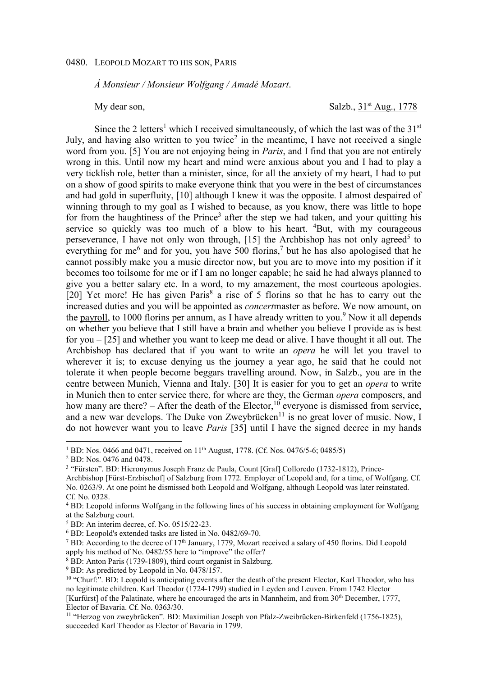## 0480. LEOPOLD MOZART TO HIS SON, PARIS

*À Monsieur / Monsieur Wolfgang / Amadé Mozart*.

My dear son, Salzb., 31<sup>st</sup> Aug., 1778

Since the 2 letters<sup>1</sup> which I received simultaneously, of which the last was of the  $31<sup>st</sup>$ July, and having also written to you twice<sup>2</sup> in the meantime, I have not received a single word from you. [5] You are not enjoying being in *Paris*, and I find that you are not entirely wrong in this. Until now my heart and mind were anxious about you and I had to play a very ticklish role, better than a minister, since, for all the anxiety of my heart, I had to put on a show of good spirits to make everyone think that you were in the best of circumstances and had gold in superfluity, [10] although I knew it was the opposite. I almost despaired of winning through to my goal as I wished to because, as you know, there was little to hope for from the haughtiness of the Prince<sup>3</sup> after the step we had taken, and your quitting his service so quickly was too much of a blow to his heart. <sup>4</sup>But, with my courageous perseverance, I have not only won through,  $[15]$  the Archbishop has not only agreed<sup>5</sup> to everything for me<sup>6</sup> and for you, you have 500 florins,<sup>7</sup> but he has also apologised that he cannot possibly make you a music director now, but you are to move into my position if it becomes too toilsome for me or if I am no longer capable; he said he had always planned to give you a better salary etc. In a word, to my amazement, the most courteous apologies. [20] Yet more! He has given Paris<sup>8</sup> a rise of 5 florins so that he has to carry out the increased duties and you will be appointed as *concert*master as before. We now amount, on the payroll, to 1000 florins per annum, as I have already written to you.<sup>9</sup> Now it all depends on whether you believe that I still have a brain and whether you believe I provide as is best for you – [25] and whether you want to keep me dead or alive. I have thought it all out. The Archbishop has declared that if you want to write an *opera* he will let you travel to wherever it is; to excuse denying us the journey a year ago, he said that he could not tolerate it when people become beggars travelling around. Now, in Salzb., you are in the centre between Munich, Vienna and Italy. [30] It is easier for you to get an *opera* to write in Munich then to enter service there, for where are they, the German *opera* composers, and how many are there? – After the death of the Elector,<sup>10</sup> everyone is dismissed from service, and a new war develops. The Duke von Zweybrücken<sup>11</sup> is no great lover of music. Now, I do not however want you to leave *Paris* [35] until I have the signed decree in my hands

<sup>&</sup>lt;sup>1</sup> BD: Nos. 0466 and 0471, received on 11<sup>th</sup> August, 1778. (Cf. Nos. 0476/5-6; 0485/5)

<sup>2</sup> BD: Nos. 0476 and 0478.

<sup>&</sup>lt;sup>3</sup> "Fürsten". BD: Hieronymus Joseph Franz de Paula, Count [Graf] Colloredo (1732-1812), Prince-

Archbishop [Fürst-Erzbischof] of Salzburg from 1772. Employer of Leopold and, for a time, of Wolfgang. Cf. No. 0263/9. At one point he dismissed both Leopold and Wolfgang, although Leopold was later reinstated. Cf. No. 0328.

<sup>&</sup>lt;sup>4</sup> BD: Leopold informs Wolfgang in the following lines of his success in obtaining employment for Wolfgang at the Salzburg court.

<sup>5</sup> BD: An interim decree, cf. No. 0515/22-23.

<sup>6</sup> BD: Leopold's extended tasks are listed in No. 0482/69-70.

<sup>&</sup>lt;sup>7</sup> BD: According to the decree of  $17<sup>th</sup>$  January, 1779, Mozart received a salary of 450 florins. Did Leopold apply his method of No. 0482/55 here to "improve" the offer?

<sup>8</sup> BD: Anton Paris (1739-1809), third court organist in Salzburg.

<sup>&</sup>lt;sup>9</sup> BD: As predicted by Leopold in No. 0478/157.

<sup>&</sup>lt;sup>10</sup> "Churf:". BD: Leopold is anticipating events after the death of the present Elector, Karl Theodor, who has no legitimate children. Karl Theodor (1724-1799) studied in Leyden and Leuven. From 1742 Elector [Kurfürst] of the Palatinate, where he encouraged the arts in Mannheim, and from 30th December, 1777, Elector of Bavaria. Cf. No. 0363/30.

<sup>11</sup> "Herzog von zweybrücken". BD: Maximilian Joseph von Pfalz-Zweibrücken-Birkenfeld (1756-1825), succeeded Karl Theodor as Elector of Bavaria in 1799.